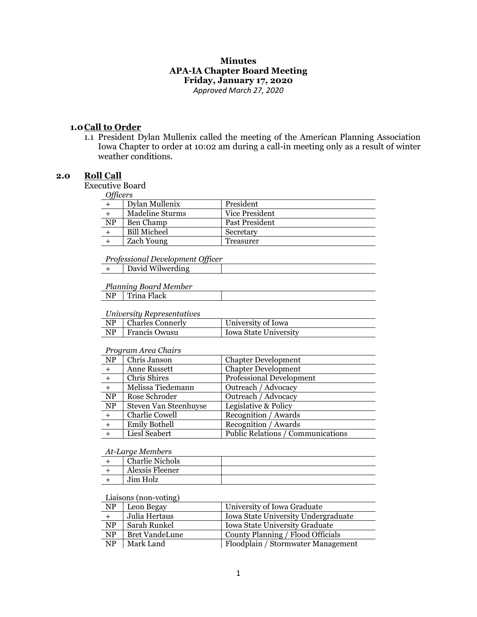# **Minutes APA-IA Chapter Board Meeting Friday, January 17, 2020**

*Approved March 27, 2020*

### **1.0Call to Order**

1.1 President Dylan Mullenix called the meeting of the American Planning Association Iowa Chapter to order at 10:02 am during a call-in meeting only as a result of winter weather conditions.

### **2.0 Roll Call**

Executive Board

|           | Dylan Mullenix      | President      |
|-----------|---------------------|----------------|
|           | Madeline Sturms     | Vice President |
| <b>NP</b> | Ben Champ           | Past President |
|           | <b>Bill Micheel</b> | Secretary      |
|           | Zach Young          | Treasurer      |

#### *Professional Development Officer*

| David Wilwerding |  |
|------------------|--|
|                  |  |

### *Planning Board Member*

## NP Trina Flack

#### *University Representatives*

| <u>ontool steg Teoplesontaneous</u> |                       |                              |
|-------------------------------------|-----------------------|------------------------------|
|                                     | $NP$ Charles Connerly | University of Iowa           |
|                                     | NP   Francis Owusu    | <b>Iowa State University</b> |

#### *Program Area Chairs*

| NP        | Chris Janson          | <b>Chapter Development</b>        |
|-----------|-----------------------|-----------------------------------|
| $+$       | Anne Russett          | <b>Chapter Development</b>        |
| $+$       | Chris Shires          | <b>Professional Development</b>   |
|           | Melissa Tiedemann     | Outreach / Advocacy               |
| NP        | Rose Schroder         | Outreach / Advocacy               |
| <b>NP</b> | Steven Van Steenhuyse | Legislative & Policy              |
| $+$       | Charlie Cowell        | Recognition / Awards              |
| $+$       | <b>Emily Bothell</b>  | Recognition / Awards              |
|           | Liesl Seabert         | Public Relations / Communications |
|           |                       |                                   |

#### *At-Large Members*

| <b>Charlie Nichols</b> |  |
|------------------------|--|
| Alexsis Fleener        |  |
| Jim Holz               |  |

### Liaisons (non-voting)

| <b>NP</b>              | Leon Begay            | University of Iowa Graduate         |
|------------------------|-----------------------|-------------------------------------|
|                        | Julia Hertaus         | Iowa State University Undergraduate |
| <b>NP</b>              | Sarah Runkel          | Iowa State University Graduate      |
| <b>NP</b>              | <b>Bret VandeLune</b> | County Planning / Flood Officials   |
| $\overline{\text{NP}}$ | Mark Land             | Floodplain / Stormwater Management  |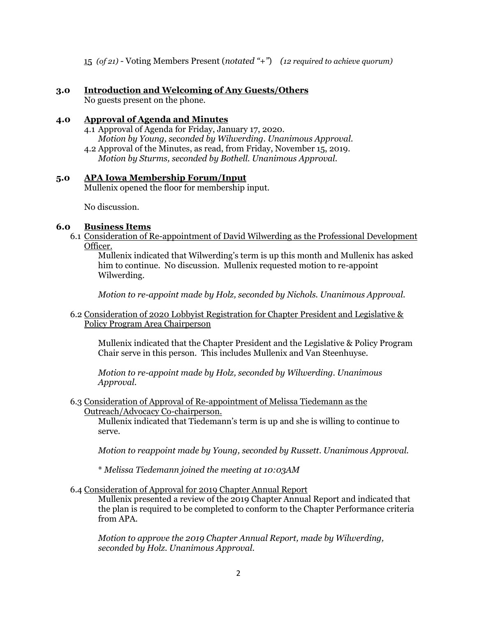15 *(of 21)* - Voting Members Present (*notated "+"*) *(12 required to achieve quorum)*

## **3.0 Introduction and Welcoming of Any Guests/Others**

No guests present on the phone.

## **4.0 Approval of Agenda and Minutes**

4.1 Approval of Agenda for Friday, January 17, 2020. *Motion by Young, seconded by Wilwerding. Unanimous Approval.* 4.2 Approval of the Minutes, as read, from Friday, November 15, 2019.

*Motion by Sturms, seconded by Bothell. Unanimous Approval.*

### **5.0 APA Iowa Membership Forum/Input**

Mullenix opened the floor for membership input.

No discussion.

## **6.0 Business Items**

6.1 Consideration of Re-appointment of David Wilwerding as the Professional Development Officer.

Mullenix indicated that Wilwerding's term is up this month and Mullenix has asked him to continue. No discussion. Mullenix requested motion to re-appoint Wilwerding.

*Motion to re-appoint made by Holz, seconded by Nichols. Unanimous Approval.*

6.2 Consideration of 2020 Lobbyist Registration for Chapter President and Legislative & Policy Program Area Chairperson

Mullenix indicated that the Chapter President and the Legislative & Policy Program Chair serve in this person. This includes Mullenix and Van Steenhuyse.

*Motion to re-appoint made by Holz, seconded by Wilwerding. Unanimous Approval.*

6.3 Consideration of Approval of Re-appointment of Melissa Tiedemann as the Outreach/Advocacy Co-chairperson.

Mullenix indicated that Tiedemann's term is up and she is willing to continue to serve.

*Motion to reappoint made by Young, seconded by Russett. Unanimous Approval.*

\* *Melissa Tiedemann joined the meeting at 10:03AM*

6.4 Consideration of Approval for 2019 Chapter Annual Report

Mullenix presented a review of the 2019 Chapter Annual Report and indicated that the plan is required to be completed to conform to the Chapter Performance criteria from APA.

*Motion to approve the 2019 Chapter Annual Report, made by Wilwerding, seconded by Holz. Unanimous Approval.*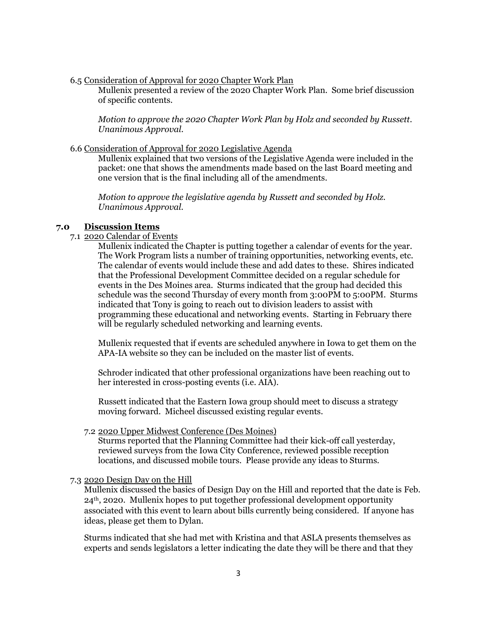6.5 Consideration of Approval for 2020 Chapter Work Plan

Mullenix presented a review of the 2020 Chapter Work Plan. Some brief discussion of specific contents.

*Motion to approve the 2020 Chapter Work Plan by Holz and seconded by Russett. Unanimous Approval.*

#### 6.6 Consideration of Approval for 2020 Legislative Agenda

Mullenix explained that two versions of the Legislative Agenda were included in the packet: one that shows the amendments made based on the last Board meeting and one version that is the final including all of the amendments.

*Motion to approve the legislative agenda by Russett and seconded by Holz. Unanimous Approval.*

### **7.0 Discussion Items**

#### 7.1 2020 Calendar of Events

Mullenix indicated the Chapter is putting together a calendar of events for the year. The Work Program lists a number of training opportunities, networking events, etc. The calendar of events would include these and add dates to these. Shires indicated that the Professional Development Committee decided on a regular schedule for events in the Des Moines area. Sturms indicated that the group had decided this schedule was the second Thursday of every month from 3:00PM to 5:00PM. Sturms indicated that Tony is going to reach out to division leaders to assist with programming these educational and networking events. Starting in February there will be regularly scheduled networking and learning events.

Mullenix requested that if events are scheduled anywhere in Iowa to get them on the APA-IA website so they can be included on the master list of events.

Schroder indicated that other professional organizations have been reaching out to her interested in cross-posting events (i.e. AIA).

Russett indicated that the Eastern Iowa group should meet to discuss a strategy moving forward. Micheel discussed existing regular events.

#### 7.2 2020 Upper Midwest Conference (Des Moines)

Sturms reported that the Planning Committee had their kick-off call yesterday, reviewed surveys from the Iowa City Conference, reviewed possible reception locations, and discussed mobile tours. Please provide any ideas to Sturms.

#### 7.3 2020 Design Day on the Hill

Mullenix discussed the basics of Design Day on the Hill and reported that the date is Feb. 24<sup>th</sup>, 2020. Mullenix hopes to put together professional development opportunity associated with this event to learn about bills currently being considered. If anyone has ideas, please get them to Dylan.

Sturms indicated that she had met with Kristina and that ASLA presents themselves as experts and sends legislators a letter indicating the date they will be there and that they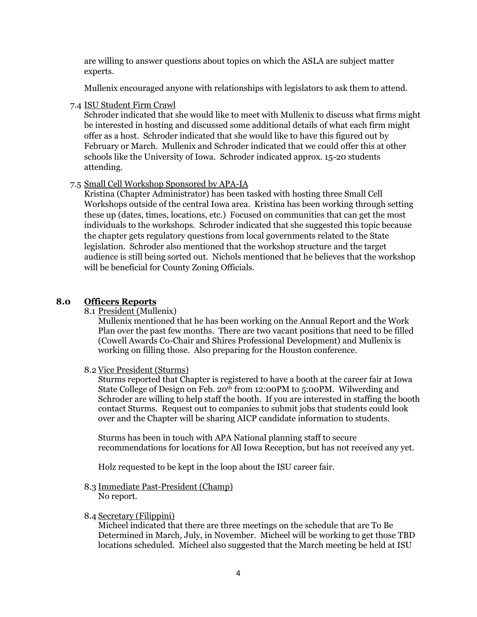are willing to answer questions about topics on which the ASLA are subject matter experts.

Mullenix encouraged anyone with relationships with legislators to ask them to attend.

7.4 ISU Student Firm Crawl

Schroder indicated that she would like to meet with Mullenix to discuss what firms might be interested in hosting and discussed some additional details of what each firm might offer as a host. Schroder indicated that she would like to have this figured out by February or March. Mullenix and Schroder indicated that we could offer this at other schools like the University of Iowa. Schroder indicated approx. 15-20 students attending.

### 7.5 Small Cell Workshop Sponsored by APA-IA

Kristina (Chapter Administrator) has been tasked with hosting three Small Cell Workshops outside of the central Iowa area. Kristina has been working through setting these up (dates, times, locations, etc.) Focused on communities that can get the most individuals to the workshops. Schroder indicated that she suggested this topic because the chapter gets regulatory questions from local governments related to the State legislation. Schroder also mentioned that the workshop structure and the target audience is still being sorted out. Nichols mentioned that he believes that the workshop will be beneficial for County Zoning Officials.

### **8.0 Officers Reports**

8.1 President (Mullenix)

Mullenix mentioned that he has been working on the Annual Report and the Work Plan over the past few months. There are two vacant positions that need to be filled (Cowell Awards Co-Chair and Shires Professional Development) and Mullenix is working on filling those. Also preparing for the Houston conference.

#### 8.2 Vice President (Sturms)

Sturms reported that Chapter is registered to have a booth at the career fair at Iowa State College of Design on Feb. 20<sup>th</sup> from 12:00PM to 5:00PM. Wilwerding and Schroder are willing to help staff the booth. If you are interested in staffing the booth contact Sturms. Request out to companies to submit jobs that students could look over and the Chapter will be sharing AICP candidate information to students.

Sturms has been in touch with APA National planning staff to secure recommendations for locations for All Iowa Reception, but has not received any yet.

Holz requested to be kept in the loop about the ISU career fair.

8.3 Immediate Past-President (Champ) No report.

### 8.4 Secretary (Filippini)

Micheel indicated that there are three meetings on the schedule that are To Be Determined in March, July, in November. Micheel will be working to get those TBD locations scheduled. Micheel also suggested that the March meeting be held at ISU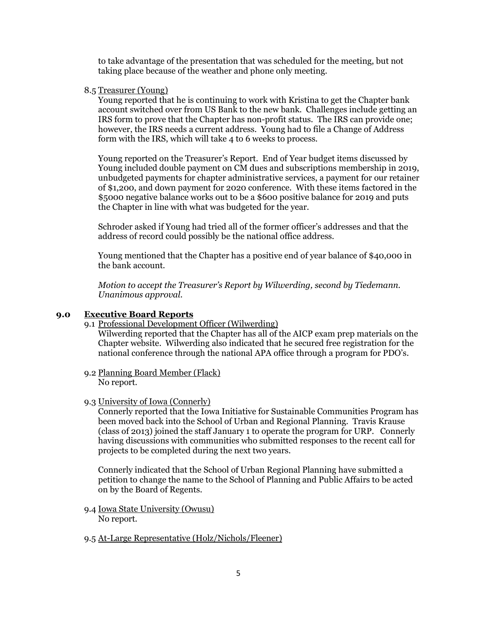to take advantage of the presentation that was scheduled for the meeting, but not taking place because of the weather and phone only meeting.

### 8.5 Treasurer (Young)

Young reported that he is continuing to work with Kristina to get the Chapter bank account switched over from US Bank to the new bank. Challenges include getting an IRS form to prove that the Chapter has non-profit status. The IRS can provide one; however, the IRS needs a current address. Young had to file a Change of Address form with the IRS, which will take 4 to 6 weeks to process.

Young reported on the Treasurer's Report. End of Year budget items discussed by Young included double payment on CM dues and subscriptions membership in 2019, unbudgeted payments for chapter administrative services, a payment for our retainer of \$1,200, and down payment for 2020 conference. With these items factored in the \$5000 negative balance works out to be a \$600 positive balance for 2019 and puts the Chapter in line with what was budgeted for the year.

Schroder asked if Young had tried all of the former officer's addresses and that the address of record could possibly be the national office address.

Young mentioned that the Chapter has a positive end of year balance of \$40,000 in the bank account.

*Motion to accept the Treasurer's Report by Wilwerding, second by Tiedemann. Unanimous approval.* 

#### **9.0 Executive Board Reports**

#### 9.1 Professional Development Officer (Wilwerding)

Wilwerding reported that the Chapter has all of the AICP exam prep materials on the Chapter website. Wilwerding also indicated that he secured free registration for the national conference through the national APA office through a program for PDO's.

9.2 Planning Board Member (Flack) No report.

#### 9.3 University of Iowa (Connerly)

Connerly reported that the Iowa Initiative for Sustainable Communities Program has been moved back into the School of Urban and Regional Planning. Travis Krause (class of 2013) joined the staff January 1 to operate the program for URP. Connerly having discussions with communities who submitted responses to the recent call for projects to be completed during the next two years.

Connerly indicated that the School of Urban Regional Planning have submitted a petition to change the name to the School of Planning and Public Affairs to be acted on by the Board of Regents.

- 9.4 Iowa State University (Owusu) No report.
- 9.5 At-Large Representative (Holz/Nichols/Fleener)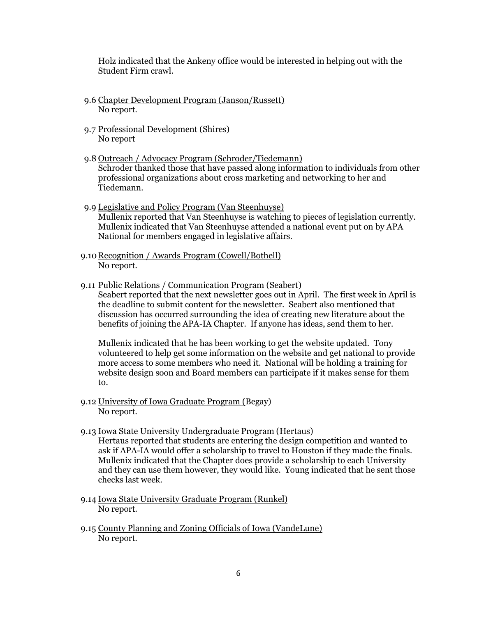Holz indicated that the Ankeny office would be interested in helping out with the Student Firm crawl.

- 9.6 Chapter Development Program (Janson/Russett) No report.
- 9.7 Professional Development (Shires) No report
- 9.8 Outreach / Advocacy Program (Schroder/Tiedemann) Schroder thanked those that have passed along information to individuals from other professional organizations about cross marketing and networking to her and Tiedemann.
- 9.9 Legislative and Policy Program (Van Steenhuyse) Mullenix reported that Van Steenhuyse is watching to pieces of legislation currently. Mullenix indicated that Van Steenhuyse attended a national event put on by APA National for members engaged in legislative affairs.
- 9.10 Recognition / Awards Program (Cowell/Bothell) No report.
- 9.11 Public Relations / Communication Program (Seabert)

Seabert reported that the next newsletter goes out in April. The first week in April is the deadline to submit content for the newsletter. Seabert also mentioned that discussion has occurred surrounding the idea of creating new literature about the benefits of joining the APA-IA Chapter. If anyone has ideas, send them to her.

Mullenix indicated that he has been working to get the website updated. Tony volunteered to help get some information on the website and get national to provide more access to some members who need it. National will be holding a training for website design soon and Board members can participate if it makes sense for them to.

- 9.12 University of Iowa Graduate Program (Begay) No report.
- 9.13 Iowa State University Undergraduate Program (Hertaus)

Hertaus reported that students are entering the design competition and wanted to ask if APA-IA would offer a scholarship to travel to Houston if they made the finals. Mullenix indicated that the Chapter does provide a scholarship to each University and they can use them however, they would like. Young indicated that he sent those checks last week.

- 9.14 Iowa State University Graduate Program (Runkel) No report.
- 9.15 County Planning and Zoning Officials of Iowa (VandeLune) No report.